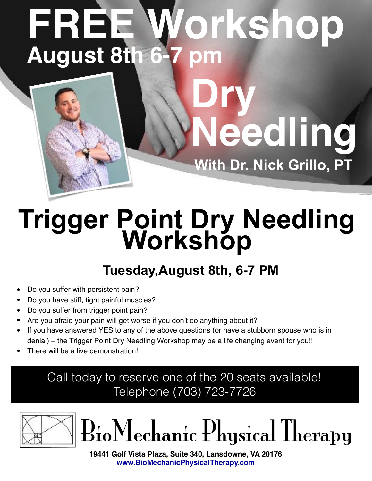## **FREE Workshop August 8th 6-7 pm**

**Dry** 

**eedling** 

**With Dr. Nick Grillo, PT**

# **Trigger Point Dry Needling Workshop**

#### **Tuesday,August 8th, 6-7 PM**

- Do you suffer with persistent pain?
- Do you have stiff, tight painful muscles?
- Do you suffer from trigger point pain?
- Are you afraid your pain will get worse if you don't do anything about it?
- If you have answered YES to any of the above questions (or have a stubborn spouse who is in denial) – the Trigger Point Dry Needling Workshop may be a life changing event for you!!
- There will be a live demonstration!

#### Call today to reserve one of the 20 seats available! Telephone (703) 723-7726





**19441 Golf Vista Plaza, Suite 340, Lansdowne, VA 20176 [www.BioMechanicPhysicalTherapy.com](http://www.biomechanicphysicaltherapy.com)**